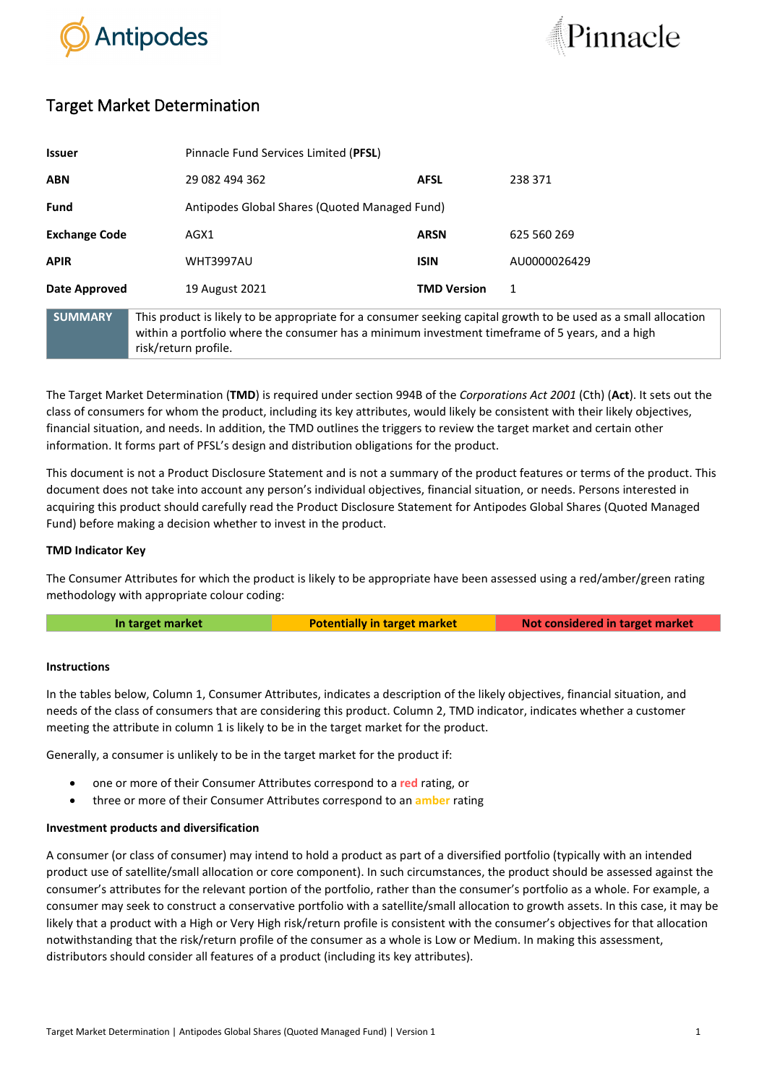



# Target Market Determination

| <b>Issuer</b>        |                                                                                                                                                                                                                                            | Pinnacle Fund Services Limited (PFSL)         |              |  |
|----------------------|--------------------------------------------------------------------------------------------------------------------------------------------------------------------------------------------------------------------------------------------|-----------------------------------------------|--------------|--|
| <b>ABN</b>           | 29 082 494 362                                                                                                                                                                                                                             | <b>AFSL</b>                                   | 238 371      |  |
| <b>Fund</b>          |                                                                                                                                                                                                                                            | Antipodes Global Shares (Quoted Managed Fund) |              |  |
| <b>Exchange Code</b> | AGX1                                                                                                                                                                                                                                       | <b>ARSN</b>                                   | 625 560 269  |  |
| <b>APIR</b>          | <b>WHT3997AU</b>                                                                                                                                                                                                                           | <b>ISIN</b>                                   | AU0000026429 |  |
| Date Approved        | 19 August 2021                                                                                                                                                                                                                             | <b>TMD Version</b>                            | 1            |  |
| <b>SUMMARY</b>       | This product is likely to be appropriate for a consumer seeking capital growth to be used as a small allocation<br>within a portfolio where the consumer has a minimum investment timeframe of 5 years, and a high<br>risk/return profile. |                                               |              |  |

The Target Market Determination (**TMD**) is required under section 994B of the *Corporations Act 2001* (Cth) (**Act**). It sets out the class of consumers for whom the product, including its key attributes, would likely be consistent with their likely objectives, financial situation, and needs. In addition, the TMD outlines the triggers to review the target market and certain other information. It forms part of PFSL's design and distribution obligations for the product.

This document is not a Product Disclosure Statement and is not a summary of the product features or terms of the product. This document does not take into account any person's individual objectives, financial situation, or needs. Persons interested in acquiring this product should carefully read the Product Disclosure Statement for Antipodes Global Shares (Quoted Managed Fund) before making a decision whether to invest in the product.

## **TMD Indicator Key**

The Consumer Attributes for which the product is likely to be appropriate have been assessed using a red/amber/green rating methodology with appropriate colour coding:

**In target market <b>Potentially in target market Not considered in target market** 

## **Instructions**

In the tables below, Column 1, Consumer Attributes, indicates a description of the likely objectives, financial situation, and needs of the class of consumers that are considering this product. Column 2, TMD indicator, indicates whether a customer meeting the attribute in column 1 is likely to be in the target market for the product.

Generally, a consumer is unlikely to be in the target market for the product if:

- one or more of their Consumer Attributes correspond to a **red** rating, or
- three or more of their Consumer Attributes correspond to an **amber** rating

## **Investment products and diversification**

A consumer (or class of consumer) may intend to hold a product as part of a diversified portfolio (typically with an intended product use of satellite/small allocation or core component). In such circumstances, the product should be assessed against the consumer's attributes for the relevant portion of the portfolio, rather than the consumer's portfolio as a whole. For example, a consumer may seek to construct a conservative portfolio with a satellite/small allocation to growth assets. In this case, it may be likely that a product with a High or Very High risk/return profile is consistent with the consumer's objectives for that allocation notwithstanding that the risk/return profile of the consumer as a whole is Low or Medium. In making this assessment, distributors should consider all features of a product (including its key attributes).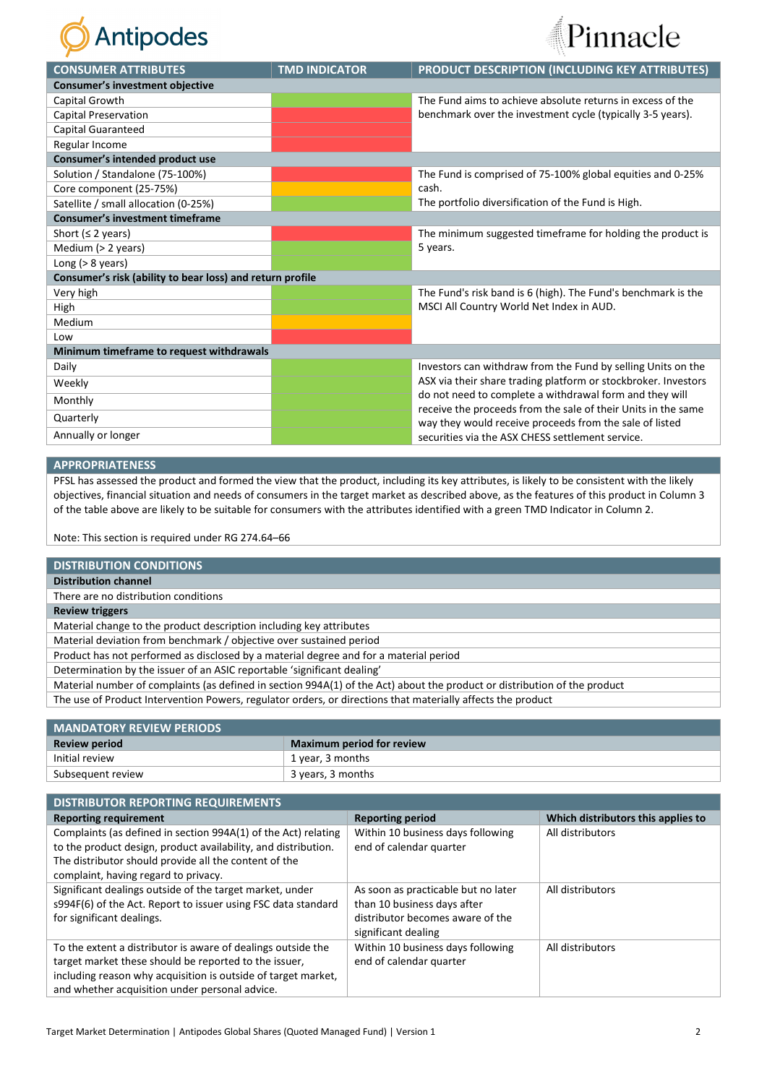



| <b>CONSUMER ATTRIBUTES</b>                                | <b>TMD INDICATOR</b>                                    | PRODUCT DESCRIPTION (INCLUDING KEY ATTRIBUTES)                                                                           |  |  |  |  |
|-----------------------------------------------------------|---------------------------------------------------------|--------------------------------------------------------------------------------------------------------------------------|--|--|--|--|
| <b>Consumer's investment objective</b>                    |                                                         |                                                                                                                          |  |  |  |  |
| Capital Growth                                            |                                                         | The Fund aims to achieve absolute returns in excess of the<br>benchmark over the investment cycle (typically 3-5 years). |  |  |  |  |
| <b>Capital Preservation</b>                               |                                                         |                                                                                                                          |  |  |  |  |
| Capital Guaranteed                                        |                                                         |                                                                                                                          |  |  |  |  |
| Regular Income                                            |                                                         |                                                                                                                          |  |  |  |  |
| Consumer's intended product use                           |                                                         |                                                                                                                          |  |  |  |  |
| Solution / Standalone (75-100%)                           |                                                         | The Fund is comprised of 75-100% global equities and 0-25%                                                               |  |  |  |  |
| Core component (25-75%)                                   |                                                         | cash.                                                                                                                    |  |  |  |  |
| Satellite / small allocation (0-25%)                      |                                                         | The portfolio diversification of the Fund is High.                                                                       |  |  |  |  |
| <b>Consumer's investment timeframe</b>                    |                                                         |                                                                                                                          |  |  |  |  |
| Short ( $\leq$ 2 years)                                   |                                                         | The minimum suggested timeframe for holding the product is                                                               |  |  |  |  |
| Medium (> 2 years)                                        |                                                         | 5 years.                                                                                                                 |  |  |  |  |
| Long ( $> 8$ years)                                       |                                                         |                                                                                                                          |  |  |  |  |
| Consumer's risk (ability to bear loss) and return profile |                                                         |                                                                                                                          |  |  |  |  |
| Very high                                                 |                                                         | The Fund's risk band is 6 (high). The Fund's benchmark is the                                                            |  |  |  |  |
| High                                                      |                                                         | MSCI All Country World Net Index in AUD.                                                                                 |  |  |  |  |
| Medium                                                    |                                                         |                                                                                                                          |  |  |  |  |
| Low                                                       |                                                         |                                                                                                                          |  |  |  |  |
| Minimum timeframe to request withdrawals                  |                                                         |                                                                                                                          |  |  |  |  |
| Daily                                                     |                                                         | Investors can withdraw from the Fund by selling Units on the                                                             |  |  |  |  |
| Weekly                                                    |                                                         | ASX via their share trading platform or stockbroker. Investors                                                           |  |  |  |  |
| Monthly                                                   |                                                         | do not need to complete a withdrawal form and they will<br>receive the proceeds from the sale of their Units in the same |  |  |  |  |
| Quarterly                                                 | way they would receive proceeds from the sale of listed |                                                                                                                          |  |  |  |  |
| Annually or longer                                        |                                                         | securities via the ASX CHESS settlement service.                                                                         |  |  |  |  |

#### **APPROPRIATENESS**

PFSL has assessed the product and formed the view that the product, including its key attributes, is likely to be consistent with the likely objectives, financial situation and needs of consumers in the target market as described above, as the features of this product in Column 3 of the table above are likely to be suitable for consumers with the attributes identified with a green TMD Indicator in Column 2.

Note: This section is required under RG 274.64–66

#### **DISTRIBUTION CONDITIONS**

**Distribution channel**

There are no distribution conditions

#### **Review triggers**

Material change to the product description including key attributes

Material deviation from benchmark / objective over sustained period

Product has not performed as disclosed by a material degree and for a material period

Determination by the issuer of an ASIC reportable 'significant dealing'

Material number of complaints (as defined in section 994A(1) of the Act) about the product or distribution of the product

The use of Product Intervention Powers, regulator orders, or directions that materially affects the product

| <b>MANDATORY REVIEW PERIODS</b> |                                  |  |
|---------------------------------|----------------------------------|--|
| <b>Review period</b>            | <b>Maximum period for review</b> |  |
| Initial review                  | 1 year, 3 months                 |  |
| Subsequent review               | 3 years, 3 months                |  |
|                                 |                                  |  |

| <b>DISTRIBUTOR REPORTING REQUIREMENTS</b>                                                                                                                                                                                                |                                                                                                                               |                                    |  |  |
|------------------------------------------------------------------------------------------------------------------------------------------------------------------------------------------------------------------------------------------|-------------------------------------------------------------------------------------------------------------------------------|------------------------------------|--|--|
| <b>Reporting requirement</b>                                                                                                                                                                                                             | <b>Reporting period</b>                                                                                                       | Which distributors this applies to |  |  |
| Complaints (as defined in section 994A(1) of the Act) relating<br>to the product design, product availability, and distribution.<br>The distributor should provide all the content of the<br>complaint, having regard to privacy.        | Within 10 business days following<br>end of calendar quarter                                                                  | All distributors                   |  |  |
| Significant dealings outside of the target market, under<br>s994F(6) of the Act. Report to issuer using FSC data standard<br>for significant dealings.                                                                                   | As soon as practicable but no later<br>than 10 business days after<br>distributor becomes aware of the<br>significant dealing | All distributors                   |  |  |
| To the extent a distributor is aware of dealings outside the<br>target market these should be reported to the issuer.<br>including reason why acquisition is outside of target market,<br>and whether acquisition under personal advice. | Within 10 business days following<br>end of calendar quarter                                                                  | All distributors                   |  |  |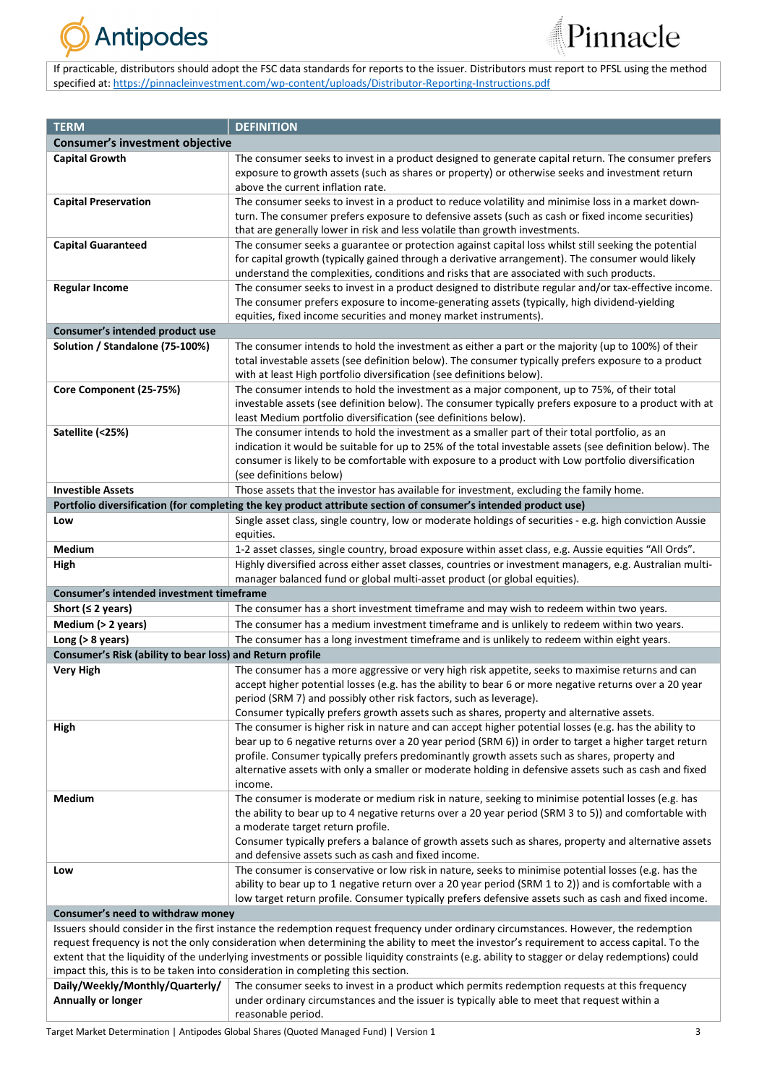



If practicable, distributors should adopt the FSC data standards for reports to the issuer. Distributors must report to PFSL using the method specified at: [https://pinnacleinvestment.com/wp-content/uploads/Distributor-Reporting-Instructions.pdf](https://aus01.safelinks.protection.outlook.com/?url=https%3A%2F%2Fpinnacleinvestment.com%2Fwp-content%2Fuploads%2FDistributor-Reporting-Instructions.pdf&data=04%7C01%7CRobbie.Zhong%40pinnacleinvestment.com%7Cb4c1b788df954b03f26408d9675577fa%7C35cf8e31ecbc469399faa3d4d4dbd0de%7C0%7C0%7C637654439063852174%7CUnknown%7CTWFpbGZsb3d8eyJWIjoiMC4wLjAwMDAiLCJQIjoiV2luMzIiLCJBTiI6Ik1haWwiLCJXVCI6Mn0%3D%7C1000&sdata=z3%2BDpshdl6t4wDnSgUIdZS0YIuaCk9GXg1FCwIAbEV4%3D&reserved=0)

| <b>TERM</b>                                                                                                                                    | <b>DEFINITION</b>                                                                                                                          |  |  |  |
|------------------------------------------------------------------------------------------------------------------------------------------------|--------------------------------------------------------------------------------------------------------------------------------------------|--|--|--|
| <b>Consumer's investment objective</b>                                                                                                         |                                                                                                                                            |  |  |  |
|                                                                                                                                                |                                                                                                                                            |  |  |  |
| <b>Capital Growth</b>                                                                                                                          | The consumer seeks to invest in a product designed to generate capital return. The consumer prefers                                        |  |  |  |
|                                                                                                                                                | exposure to growth assets (such as shares or property) or otherwise seeks and investment return<br>above the current inflation rate.       |  |  |  |
| <b>Capital Preservation</b>                                                                                                                    | The consumer seeks to invest in a product to reduce volatility and minimise loss in a market down-                                         |  |  |  |
|                                                                                                                                                | turn. The consumer prefers exposure to defensive assets (such as cash or fixed income securities)                                          |  |  |  |
|                                                                                                                                                | that are generally lower in risk and less volatile than growth investments.                                                                |  |  |  |
| <b>Capital Guaranteed</b>                                                                                                                      | The consumer seeks a guarantee or protection against capital loss whilst still seeking the potential                                       |  |  |  |
|                                                                                                                                                | for capital growth (typically gained through a derivative arrangement). The consumer would likely                                          |  |  |  |
|                                                                                                                                                | understand the complexities, conditions and risks that are associated with such products.                                                  |  |  |  |
| <b>Regular Income</b>                                                                                                                          | The consumer seeks to invest in a product designed to distribute regular and/or tax-effective income.                                      |  |  |  |
|                                                                                                                                                | The consumer prefers exposure to income-generating assets (typically, high dividend-yielding                                               |  |  |  |
|                                                                                                                                                | equities, fixed income securities and money market instruments).                                                                           |  |  |  |
| Consumer's intended product use                                                                                                                |                                                                                                                                            |  |  |  |
| Solution / Standalone (75-100%)                                                                                                                | The consumer intends to hold the investment as either a part or the majority (up to 100%) of their                                         |  |  |  |
|                                                                                                                                                | total investable assets (see definition below). The consumer typically prefers exposure to a product                                       |  |  |  |
|                                                                                                                                                | with at least High portfolio diversification (see definitions below).                                                                      |  |  |  |
| Core Component (25-75%)                                                                                                                        | The consumer intends to hold the investment as a major component, up to 75%, of their total                                                |  |  |  |
|                                                                                                                                                | investable assets (see definition below). The consumer typically prefers exposure to a product with at                                     |  |  |  |
|                                                                                                                                                | least Medium portfolio diversification (see definitions below).                                                                            |  |  |  |
| Satellite (<25%)                                                                                                                               | The consumer intends to hold the investment as a smaller part of their total portfolio, as an                                              |  |  |  |
|                                                                                                                                                | indication it would be suitable for up to 25% of the total investable assets (see definition below). The                                   |  |  |  |
|                                                                                                                                                | consumer is likely to be comfortable with exposure to a product with Low portfolio diversification                                         |  |  |  |
|                                                                                                                                                | (see definitions below)                                                                                                                    |  |  |  |
| <b>Investible Assets</b>                                                                                                                       | Those assets that the investor has available for investment, excluding the family home.                                                    |  |  |  |
|                                                                                                                                                | Portfolio diversification (for completing the key product attribute section of consumer's intended product use)                            |  |  |  |
| Low                                                                                                                                            | Single asset class, single country, low or moderate holdings of securities - e.g. high conviction Aussie<br>equities.                      |  |  |  |
| Medium                                                                                                                                         | 1-2 asset classes, single country, broad exposure within asset class, e.g. Aussie equities "All Ords".                                     |  |  |  |
| High                                                                                                                                           | Highly diversified across either asset classes, countries or investment managers, e.g. Australian multi-                                   |  |  |  |
|                                                                                                                                                | manager balanced fund or global multi-asset product (or global equities).                                                                  |  |  |  |
| Consumer's intended investment timeframe                                                                                                       |                                                                                                                                            |  |  |  |
| Short ( $\leq$ 2 years)                                                                                                                        | The consumer has a short investment timeframe and may wish to redeem within two years.                                                     |  |  |  |
| Medium (> 2 years)                                                                                                                             | The consumer has a medium investment timeframe and is unlikely to redeem within two years.                                                 |  |  |  |
| Long $(>8$ years)                                                                                                                              | The consumer has a long investment timeframe and is unlikely to redeem within eight years.                                                 |  |  |  |
| Consumer's Risk (ability to bear loss) and Return profile                                                                                      |                                                                                                                                            |  |  |  |
| <b>Very High</b>                                                                                                                               | The consumer has a more aggressive or very high risk appetite, seeks to maximise returns and can                                           |  |  |  |
|                                                                                                                                                | accept higher potential losses (e.g. has the ability to bear 6 or more negative returns over a 20 year                                     |  |  |  |
|                                                                                                                                                | period (SRM 7) and possibly other risk factors, such as leverage).                                                                         |  |  |  |
|                                                                                                                                                | Consumer typically prefers growth assets such as shares, property and alternative assets.                                                  |  |  |  |
| High                                                                                                                                           | The consumer is higher risk in nature and can accept higher potential losses (e.g. has the ability to                                      |  |  |  |
|                                                                                                                                                | bear up to 6 negative returns over a 20 year period (SRM 6)) in order to target a higher target return                                     |  |  |  |
|                                                                                                                                                | profile. Consumer typically prefers predominantly growth assets such as shares, property and                                               |  |  |  |
|                                                                                                                                                | alternative assets with only a smaller or moderate holding in defensive assets such as cash and fixed                                      |  |  |  |
|                                                                                                                                                | income.                                                                                                                                    |  |  |  |
| Medium                                                                                                                                         | The consumer is moderate or medium risk in nature, seeking to minimise potential losses (e.g. has                                          |  |  |  |
|                                                                                                                                                | the ability to bear up to 4 negative returns over a 20 year period (SRM 3 to 5)) and comfortable with                                      |  |  |  |
|                                                                                                                                                | a moderate target return profile.<br>Consumer typically prefers a balance of growth assets such as shares, property and alternative assets |  |  |  |
|                                                                                                                                                | and defensive assets such as cash and fixed income.                                                                                        |  |  |  |
| Low                                                                                                                                            | The consumer is conservative or low risk in nature, seeks to minimise potential losses (e.g. has the                                       |  |  |  |
|                                                                                                                                                | ability to bear up to 1 negative return over a 20 year period (SRM 1 to 2)) and is comfortable with a                                      |  |  |  |
|                                                                                                                                                | low target return profile. Consumer typically prefers defensive assets such as cash and fixed income.                                      |  |  |  |
| Consumer's need to withdraw money                                                                                                              |                                                                                                                                            |  |  |  |
|                                                                                                                                                | Issuers should consider in the first instance the redemption request frequency under ordinary circumstances. However, the redemption       |  |  |  |
| request frequency is not the only consideration when determining the ability to meet the investor's requirement to access capital. To the      |                                                                                                                                            |  |  |  |
| extent that the liquidity of the underlying investments or possible liquidity constraints (e.g. ability to stagger or delay redemptions) could |                                                                                                                                            |  |  |  |
| impact this, this is to be taken into consideration in completing this section.                                                                |                                                                                                                                            |  |  |  |
| Daily/Weekly/Monthly/Quarterly/                                                                                                                | The consumer seeks to invest in a product which permits redemption requests at this frequency                                              |  |  |  |
| Annually or longer                                                                                                                             | under ordinary circumstances and the issuer is typically able to meet that request within a                                                |  |  |  |
|                                                                                                                                                | reasonable period.                                                                                                                         |  |  |  |